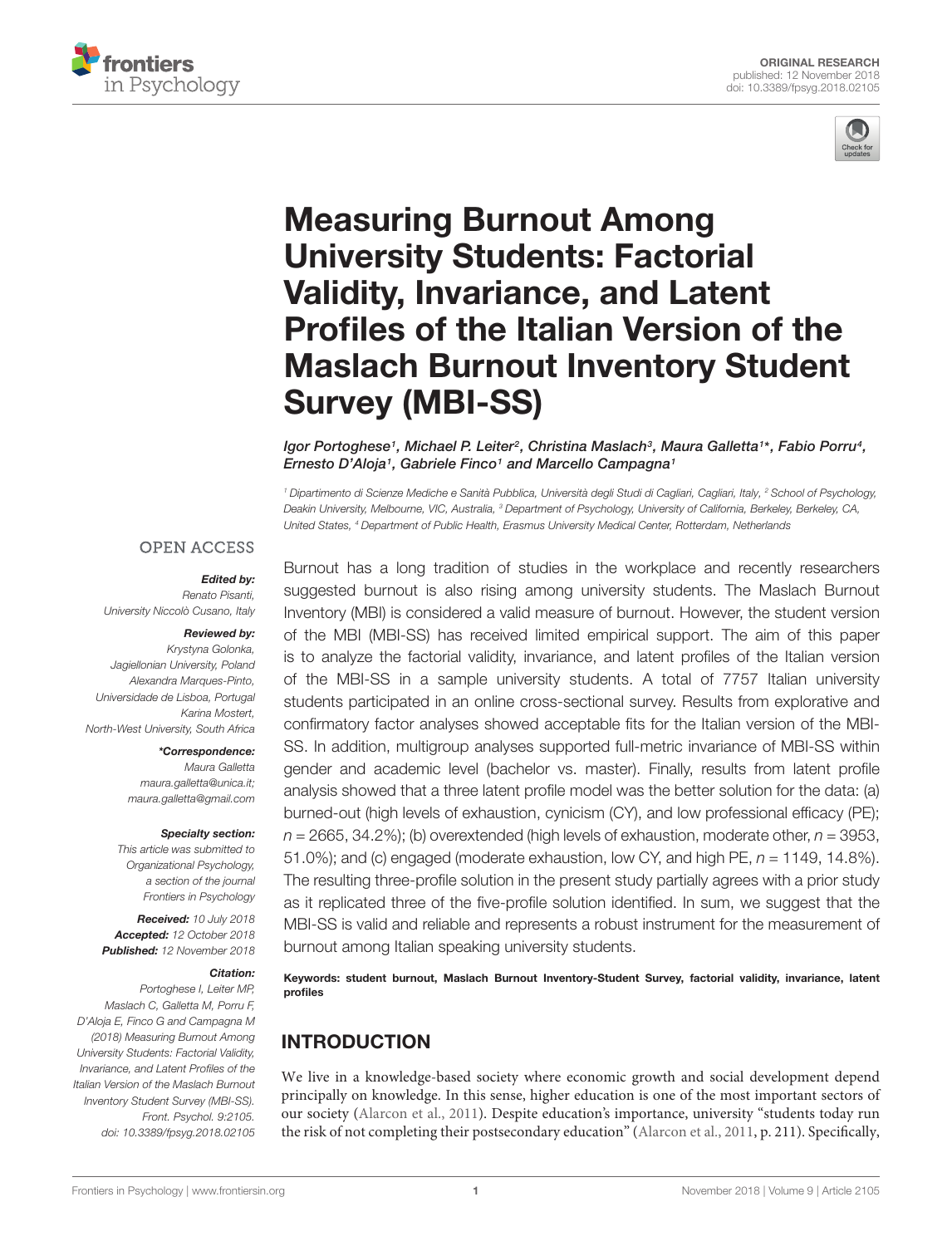



# Measuring Burnout Among University Students: Factorial Validity, Invariance, and Latent Profiles of the Italian Version of the [Maslach Burnout Inventory Student](https://www.frontiersin.org/articles/10.3389/fpsyg.2018.02105/full) Survey (MBI-SS)

lgor Portoghese1, [Michael P. Leiter](http://loop.frontiersin.org/people/623997/overview) $^2$ , Christina Maslach $^3$ , Maura Galletta1\*, [Fabio Porru](http://loop.frontiersin.org/people/586611/overview) $^4$ , [Ernesto D'Aloja](http://loop.frontiersin.org/people/379682/overview)<sup>1</sup>, Gabriele Finco<sup>1</sup> and Marcello Campagna<sup>1</sup>

<sup>1</sup> Dipartimento di Scienze Mediche e Sanità Pubblica, Università degli Studi di Cagliari, Cagliari, Italy, <sup>2</sup> School of Psychology, Deakin University, Melbourne, VIC, Australia, <sup>3</sup> Department of Psychology, University of California, Berkeley, Berkeley, CA, United States, <sup>4</sup> Department of Public Health, Erasmus University Medical Center, Rotterdam, Netherlands

## **OPEN ACCESS**

#### Edited by:

Renato Pisanti, University Niccolò Cusano, Italy

#### Reviewed by:

Krystyna Golonka, Jagiellonian University, Poland Alexandra Marques-Pinto, Universidade de Lisboa, Portugal Karina Mostert, North-West University, South Africa

> \*Correspondence: Maura Galletta maura.galletta@unica.it; maura.galletta@gmail.com

#### Specialty section:

This article was submitted to Organizational Psychology, a section of the journal Frontiers in Psychology

Received: 10 July 2018 Accepted: 12 October 2018 Published: 12 November 2018

#### Citation:

Portoghese I, Leiter MP, Maslach C, Galletta M, Porru F, D'Aloja E, Finco G and Campagna M (2018) Measuring Burnout Among University Students: Factorial Validity, Invariance, and Latent Profiles of the Italian Version of the Maslach Burnout Inventory Student Survey (MBI-SS). Front. Psychol. 9:2105. doi: [10.3389/fpsyg.2018.02105](https://doi.org/10.3389/fpsyg.2018.02105) Burnout has a long tradition of studies in the workplace and recently researchers suggested burnout is also rising among university students. The Maslach Burnout Inventory (MBI) is considered a valid measure of burnout. However, the student version of the MBI (MBI-SS) has received limited empirical support. The aim of this paper is to analyze the factorial validity, invariance, and latent profiles of the Italian version of the MBI-SS in a sample university students. A total of 7757 Italian university students participated in an online cross-sectional survey. Results from explorative and confirmatory factor analyses showed acceptable fits for the Italian version of the MBI-SS. In addition, multigroup analyses supported full-metric invariance of MBI-SS within gender and academic level (bachelor vs. master). Finally, results from latent profile analysis showed that a three latent profile model was the better solution for the data: (a) burned-out (high levels of exhaustion, cynicism (CY), and low professional efficacy (PE);  $n = 2665$ , 34.2%); (b) overextended (high levels of exhaustion, moderate other,  $n = 3953$ , 51.0%); and (c) engaged (moderate exhaustion, low CY, and high PE,  $n = 1149, 14.8\%$ ). The resulting three-profile solution in the present study partially agrees with a prior study as it replicated three of the five-profile solution identified. In sum, we suggest that the MBI-SS is valid and reliable and represents a robust instrument for the measurement of burnout among Italian speaking university students.

Keywords: student burnout, Maslach Burnout Inventory-Student Survey, factorial validity, invariance, latent profiles

# INTRODUCTION

We live in a knowledge-based society where economic growth and social development depend principally on knowledge. In this sense, higher education is one of the most important sectors of our society [\(Alarcon et al.,](#page-7-0) [2011\)](#page-7-0). Despite education's importance, university "students today run the risk of not completing their postsecondary education" [\(Alarcon et al.,](#page-7-0) [2011,](#page-7-0) p. 211). Specifically,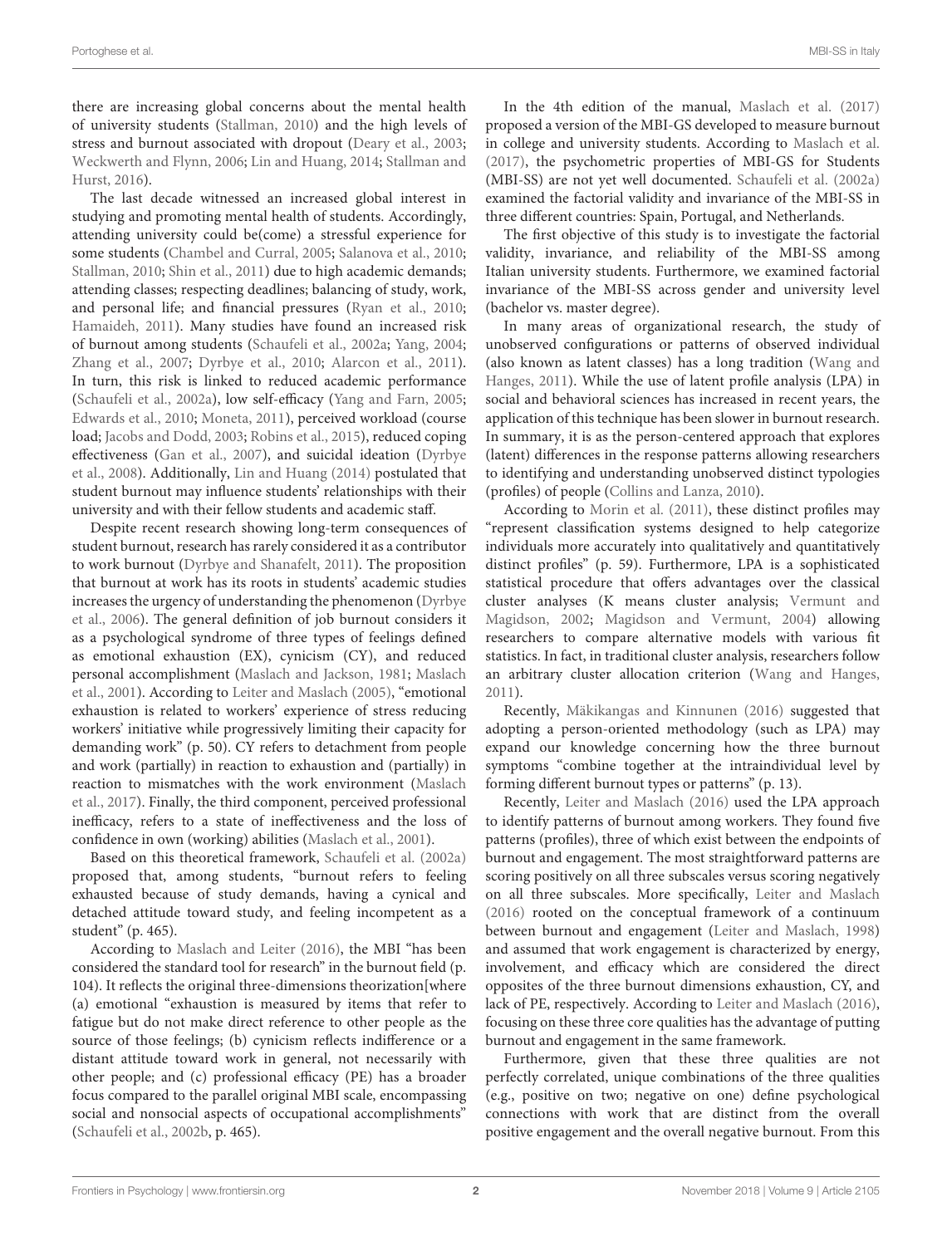there are increasing global concerns about the mental health of university students [\(Stallman,](#page-8-0) [2010\)](#page-8-0) and the high levels of stress and burnout associated with dropout [\(Deary et al.,](#page-7-1) [2003;](#page-7-1) [Weckwerth and Flynn,](#page-8-1) [2006;](#page-8-1) [Lin and Huang,](#page-7-2) [2014;](#page-7-2) [Stallman and](#page-8-2) [Hurst,](#page-8-2) [2016\)](#page-8-2).

The last decade witnessed an increased global interest in studying and promoting mental health of students. Accordingly, attending university could be(come) a stressful experience for some students [\(Chambel and Curral,](#page-7-3) [2005;](#page-7-3) [Salanova et al.,](#page-8-3) [2010;](#page-8-3) [Stallman,](#page-8-0) [2010;](#page-8-0) [Shin et al.,](#page-8-4) [2011\)](#page-8-4) due to high academic demands; attending classes; respecting deadlines; balancing of study, work, and personal life; and financial pressures [\(Ryan et al.,](#page-8-5) [2010;](#page-8-5) [Hamaideh,](#page-7-4) [2011\)](#page-7-4). Many studies have found an increased risk of burnout among students [\(Schaufeli et al.,](#page-8-6) [2002a;](#page-8-6) [Yang,](#page-8-7) [2004;](#page-8-7) [Zhang et al.,](#page-8-8) [2007;](#page-8-8) [Dyrbye et al.,](#page-7-5) [2010;](#page-7-5) [Alarcon et al.,](#page-7-0) [2011\)](#page-7-0). In turn, this risk is linked to reduced academic performance [\(Schaufeli et al.,](#page-8-6) [2002a\)](#page-8-6), low self-efficacy [\(Yang and Farn,](#page-8-9) [2005;](#page-8-9) [Edwards et al.,](#page-7-6) [2010;](#page-7-6) [Moneta,](#page-7-7) [2011\)](#page-7-7), perceived workload (course load; [Jacobs and Dodd,](#page-7-8) [2003;](#page-7-8) [Robins et al.,](#page-7-9) [2015\)](#page-7-9), reduced coping effectiveness [\(Gan et al.,](#page-7-10) [2007\)](#page-7-10), and suicidal ideation [\(Dyrbye](#page-7-11) [et al.,](#page-7-11) [2008\)](#page-7-11). Additionally, [Lin and Huang](#page-7-2) [\(2014\)](#page-7-2) postulated that student burnout may influence students' relationships with their university and with their fellow students and academic staff.

Despite recent research showing long-term consequences of student burnout, research has rarely considered it as a contributor to work burnout [\(Dyrbye and Shanafelt,](#page-7-12) [2011\)](#page-7-12). The proposition that burnout at work has its roots in students' academic studies increases the urgency of understanding the phenomenon [\(Dyrbye](#page-7-13) [et al.,](#page-7-13) [2006\)](#page-7-13). The general definition of job burnout considers it as a psychological syndrome of three types of feelings defined as emotional exhaustion (EX), cynicism (CY), and reduced personal accomplishment [\(Maslach and Jackson,](#page-7-14) [1981;](#page-7-14) [Maslach](#page-7-15) [et al.,](#page-7-15) [2001\)](#page-7-15). According to [Leiter and Maslach](#page-7-16) [\(2005\)](#page-7-16), "emotional exhaustion is related to workers' experience of stress reducing workers' initiative while progressively limiting their capacity for demanding work" (p. 50). CY refers to detachment from people and work (partially) in reaction to exhaustion and (partially) in reaction to mismatches with the work environment [\(Maslach](#page-7-17) [et al.,](#page-7-17) [2017\)](#page-7-17). Finally, the third component, perceived professional inefficacy, refers to a state of ineffectiveness and the loss of confidence in own (working) abilities [\(Maslach et al.,](#page-7-15) [2001\)](#page-7-15).

Based on this theoretical framework, [Schaufeli et al.](#page-8-6) [\(2002a\)](#page-8-6) proposed that, among students, "burnout refers to feeling exhausted because of study demands, having a cynical and detached attitude toward study, and feeling incompetent as a student" (p. 465).

According to [Maslach and Leiter](#page-7-18) [\(2016\)](#page-7-18), the MBI "has been considered the standard tool for research" in the burnout field (p. 104). It reflects the original three-dimensions theorization[where (a) emotional "exhaustion is measured by items that refer to fatigue but do not make direct reference to other people as the source of those feelings; (b) cynicism reflects indifference or a distant attitude toward work in general, not necessarily with other people; and (c) professional efficacy (PE) has a broader focus compared to the parallel original MBI scale, encompassing social and nonsocial aspects of occupational accomplishments" [\(Schaufeli et al.,](#page-8-10) [2002b,](#page-8-10) p. 465).

In the 4th edition of the manual, [Maslach et al.](#page-7-17) [\(2017\)](#page-7-17) proposed a version of the MBI-GS developed to measure burnout in college and university students. According to [Maslach et al.](#page-7-17) [\(2017\)](#page-7-17), the psychometric properties of MBI-GS for Students (MBI-SS) are not yet well documented. [Schaufeli et al.](#page-8-6) [\(2002a\)](#page-8-6) examined the factorial validity and invariance of the MBI-SS in three different countries: Spain, Portugal, and Netherlands.

The first objective of this study is to investigate the factorial validity, invariance, and reliability of the MBI-SS among Italian university students. Furthermore, we examined factorial invariance of the MBI-SS across gender and university level (bachelor vs. master degree).

In many areas of organizational research, the study of unobserved configurations or patterns of observed individual (also known as latent classes) has a long tradition [\(Wang and](#page-8-11) [Hanges,](#page-8-11) [2011\)](#page-8-11). While the use of latent profile analysis (LPA) in social and behavioral sciences has increased in recent years, the application of this technique has been slower in burnout research. In summary, it is as the person-centered approach that explores (latent) differences in the response patterns allowing researchers to identifying and understanding unobserved distinct typologies (profiles) of people [\(Collins and Lanza,](#page-7-19) [2010\)](#page-7-19).

According to [Morin et al.](#page-7-20) [\(2011\)](#page-7-20), these distinct profiles may "represent classification systems designed to help categorize individuals more accurately into qualitatively and quantitatively distinct profiles" (p. 59). Furthermore, LPA is a sophisticated statistical procedure that offers advantages over the classical cluster analyses (K means cluster analysis; [Vermunt and](#page-8-12) [Magidson,](#page-8-12) [2002;](#page-8-12) [Magidson and Vermunt,](#page-7-21) [2004\)](#page-7-21) allowing researchers to compare alternative models with various fit statistics. In fact, in traditional cluster analysis, researchers follow an arbitrary cluster allocation criterion [\(Wang and Hanges,](#page-8-11) [2011\)](#page-8-11).

Recently, [Mäkikangas and Kinnunen](#page-7-22) [\(2016\)](#page-7-22) suggested that adopting a person-oriented methodology (such as LPA) may expand our knowledge concerning how the three burnout symptoms "combine together at the intraindividual level by forming different burnout types or patterns" (p. 13).

Recently, [Leiter and Maslach](#page-7-23) [\(2016\)](#page-7-23) used the LPA approach to identify patterns of burnout among workers. They found five patterns (profiles), three of which exist between the endpoints of burnout and engagement. The most straightforward patterns are scoring positively on all three subscales versus scoring negatively on all three subscales. More specifically, [Leiter and Maslach](#page-7-23) [\(2016\)](#page-7-23) rooted on the conceptual framework of a continuum between burnout and engagement [\(Leiter and Maslach,](#page-7-24) [1998\)](#page-7-24) and assumed that work engagement is characterized by energy, involvement, and efficacy which are considered the direct opposites of the three burnout dimensions exhaustion, CY, and lack of PE, respectively. According to [Leiter and Maslach](#page-7-23) [\(2016\)](#page-7-23), focusing on these three core qualities has the advantage of putting burnout and engagement in the same framework.

Furthermore, given that these three qualities are not perfectly correlated, unique combinations of the three qualities (e.g., positive on two; negative on one) define psychological connections with work that are distinct from the overall positive engagement and the overall negative burnout. From this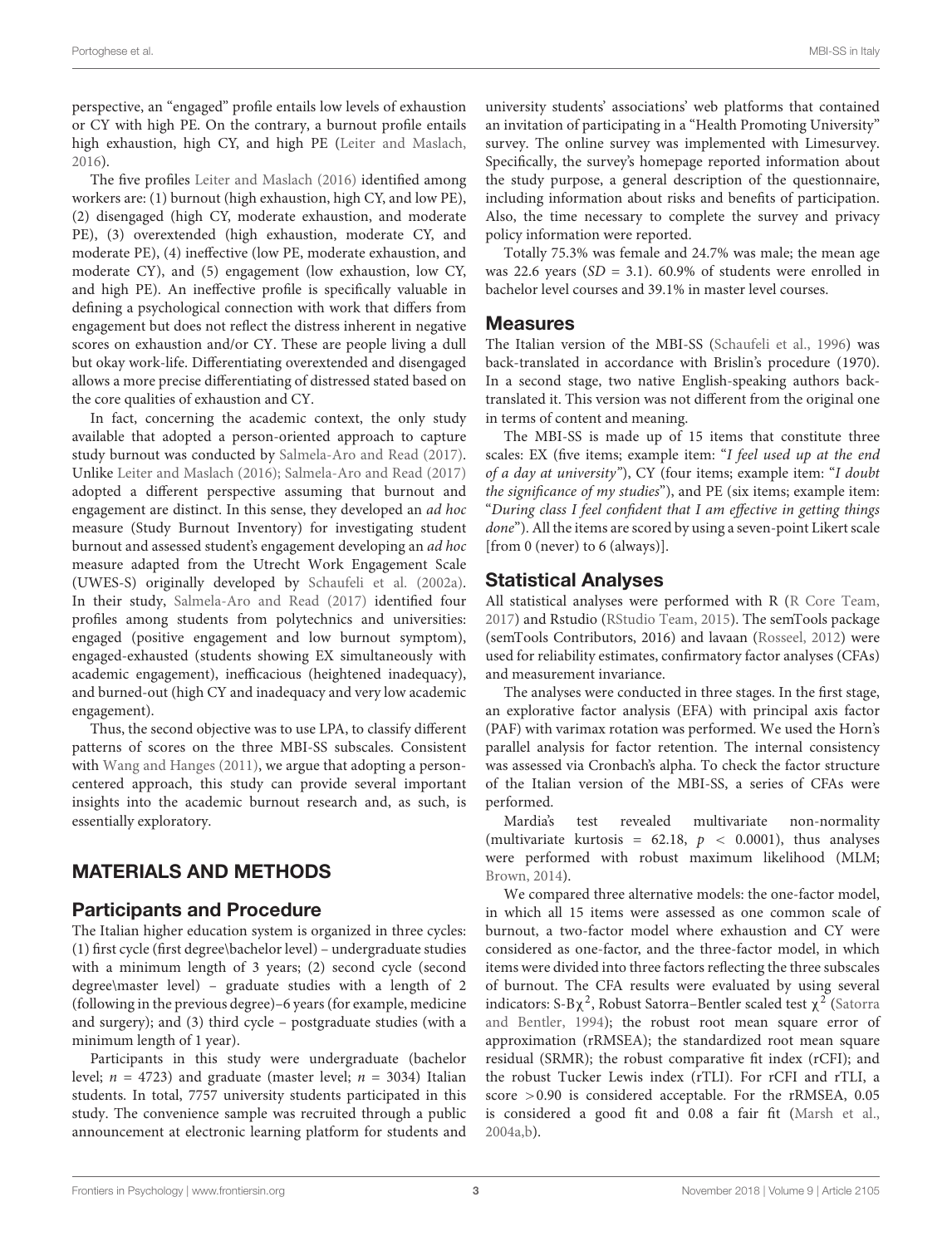perspective, an "engaged" profile entails low levels of exhaustion or CY with high PE. On the contrary, a burnout profile entails high exhaustion, high CY, and high PE [\(Leiter and Maslach,](#page-7-23) [2016\)](#page-7-23).

The five profiles [Leiter and Maslach](#page-7-23) [\(2016\)](#page-7-23) identified among workers are: (1) burnout (high exhaustion, high CY, and low PE), (2) disengaged (high CY, moderate exhaustion, and moderate PE), (3) overextended (high exhaustion, moderate CY, and moderate PE), (4) ineffective (low PE, moderate exhaustion, and moderate CY), and (5) engagement (low exhaustion, low CY, and high PE). An ineffective profile is specifically valuable in defining a psychological connection with work that differs from engagement but does not reflect the distress inherent in negative scores on exhaustion and/or CY. These are people living a dull but okay work-life. Differentiating overextended and disengaged allows a more precise differentiating of distressed stated based on the core qualities of exhaustion and CY.

In fact, concerning the academic context, the only study available that adopted a person-oriented approach to capture study burnout was conducted by [Salmela-Aro and Read](#page-8-13) [\(2017\)](#page-8-13). Unlike [Leiter and Maslach](#page-7-23) [\(2016\)](#page-7-23); [Salmela-Aro and Read](#page-8-13) [\(2017\)](#page-8-13) adopted a different perspective assuming that burnout and engagement are distinct. In this sense, they developed an ad hoc measure (Study Burnout Inventory) for investigating student burnout and assessed student's engagement developing an ad hoc measure adapted from the Utrecht Work Engagement Scale (UWES-S) originally developed by [Schaufeli et al.](#page-8-6) [\(2002a\)](#page-8-6). In their study, [Salmela-Aro and Read](#page-8-13) [\(2017\)](#page-8-13) identified four profiles among students from polytechnics and universities: engaged (positive engagement and low burnout symptom), engaged-exhausted (students showing EX simultaneously with academic engagement), inefficacious (heightened inadequacy), and burned-out (high CY and inadequacy and very low academic engagement).

Thus, the second objective was to use LPA, to classify different patterns of scores on the three MBI-SS subscales. Consistent with [Wang and Hanges](#page-8-11) [\(2011\)](#page-8-11), we argue that adopting a personcentered approach, this study can provide several important insights into the academic burnout research and, as such, is essentially exploratory.

# MATERIALS AND METHODS

## Participants and Procedure

The Italian higher education system is organized in three cycles: (1) first cycle (first degree\bachelor level) – undergraduate studies with a minimum length of 3 years; (2) second cycle (second degree\master level) – graduate studies with a length of 2 (following in the previous degree)–6 years (for example, medicine and surgery); and (3) third cycle – postgraduate studies (with a minimum length of 1 year).

Participants in this study were undergraduate (bachelor level;  $n = 4723$ ) and graduate (master level;  $n = 3034$ ) Italian students. In total, 7757 university students participated in this study. The convenience sample was recruited through a public announcement at electronic learning platform for students and

university students' associations' web platforms that contained an invitation of participating in a "Health Promoting University" survey. The online survey was implemented with Limesurvey. Specifically, the survey's homepage reported information about the study purpose, a general description of the questionnaire, including information about risks and benefits of participation. Also, the time necessary to complete the survey and privacy policy information were reported.

Totally 75.3% was female and 24.7% was male; the mean age was 22.6 years ( $SD = 3.1$ ). 60.9% of students were enrolled in bachelor level courses and 39.1% in master level courses.

## **Measures**

The Italian version of the MBI-SS [\(Schaufeli et al.,](#page-8-14) [1996\)](#page-8-14) was back-translated in accordance with Brislin's procedure (1970). In a second stage, two native English-speaking authors backtranslated it. This version was not different from the original one in terms of content and meaning.

The MBI-SS is made up of 15 items that constitute three scales: EX (five items; example item: "I feel used up at the end of a day at university"), CY (four items; example item: "I doubt the significance of my studies"), and PE (six items; example item: "During class I feel confident that I am effective in getting things done"). All the items are scored by using a seven-point Likert scale [from 0 (never) to 6 (always)].

# Statistical Analyses

All statistical analyses were performed with R [\(R Core Team,](#page-7-25) [2017\)](#page-7-25) and Rstudio [\(RStudio Team,](#page-7-26) [2015\)](#page-7-26). The semTools package (semTools Contributors, 2016) and lavaan [\(Rosseel,](#page-7-27) [2012\)](#page-7-27) were used for reliability estimates, confirmatory factor analyses (CFAs) and measurement invariance.

The analyses were conducted in three stages. In the first stage, an explorative factor analysis (EFA) with principal axis factor (PAF) with varimax rotation was performed. We used the Horn's parallel analysis for factor retention. The internal consistency was assessed via Cronbach's alpha. To check the factor structure of the Italian version of the MBI-SS, a series of CFAs were performed.

Mardia's test revealed multivariate non-normality (multivariate kurtosis =  $62.18$ ,  $p < 0.0001$ ), thus analyses were performed with robust maximum likelihood (MLM; [Brown,](#page-7-28) [2014\)](#page-7-28).

We compared three alternative models: the one-factor model, in which all 15 items were assessed as one common scale of burnout, a two-factor model where exhaustion and CY were considered as one-factor, and the three-factor model, in which items were divided into three factors reflecting the three subscales of burnout. The CFA results were evaluated by using several indicators: S-B $\chi^2$ , Robust Satorra–Bentler scaled test  $\chi^2$  [\(Satorra](#page-8-15) [and Bentler,](#page-8-15) [1994\)](#page-8-15); the robust root mean square error of approximation (rRMSEA); the standardized root mean square residual (SRMR); the robust comparative fit index (rCFI); and the robust Tucker Lewis index (rTLI). For rCFI and rTLI, a score >0.90 is considered acceptable. For the rRMSEA, 0.05 is considered a good fit and 0.08 a fair fit [\(Marsh et al.,](#page-7-29) [2004a](#page-7-29)[,b\)](#page-7-30).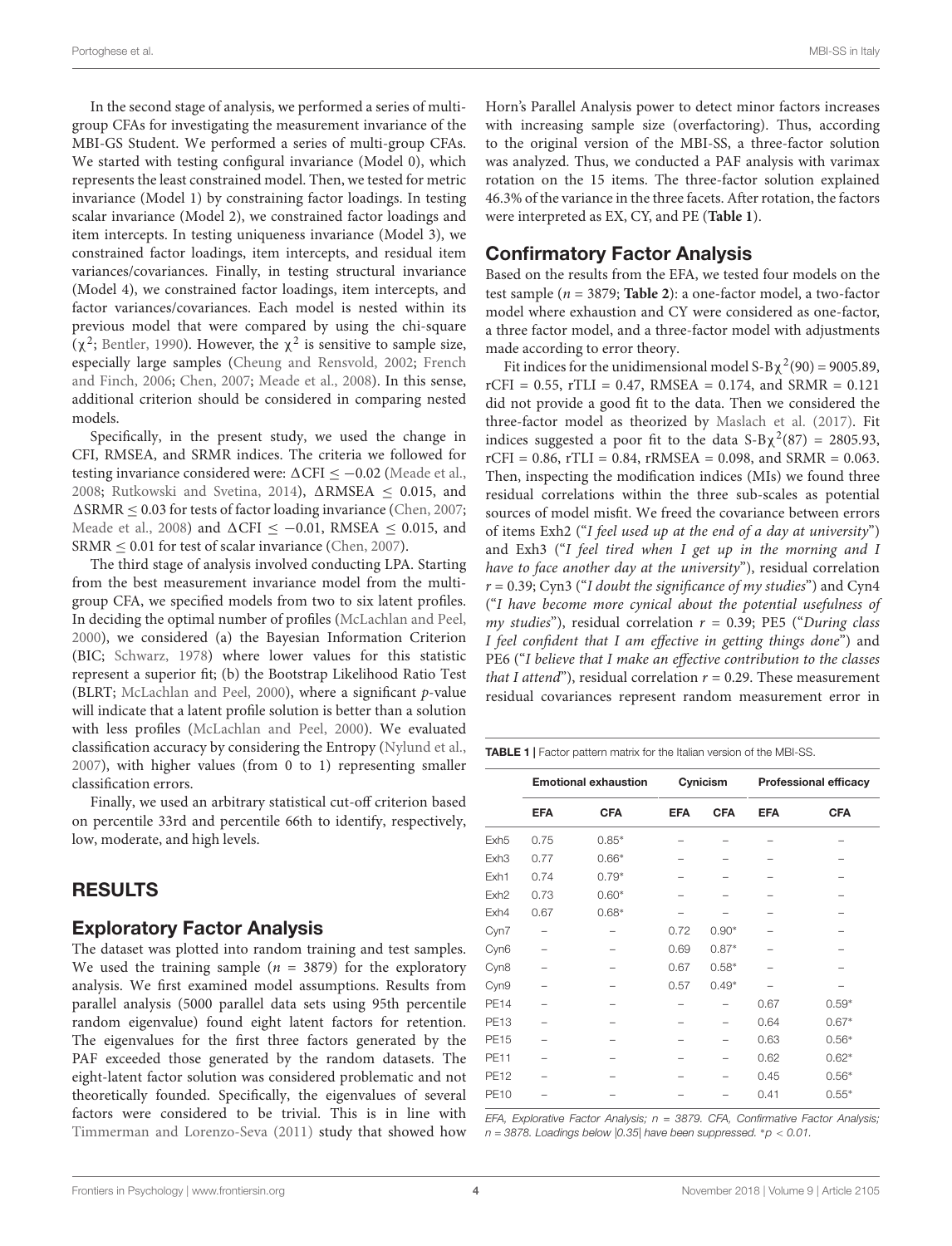In the second stage of analysis, we performed a series of multigroup CFAs for investigating the measurement invariance of the MBI-GS Student. We performed a series of multi-group CFAs. We started with testing configural invariance (Model 0), which represents the least constrained model. Then, we tested for metric invariance (Model 1) by constraining factor loadings. In testing scalar invariance (Model 2), we constrained factor loadings and item intercepts. In testing uniqueness invariance (Model 3), we constrained factor loadings, item intercepts, and residual item variances/covariances. Finally, in testing structural invariance (Model 4), we constrained factor loadings, item intercepts, and factor variances/covariances. Each model is nested within its previous model that were compared by using the chi-square ( $\chi^2$ ; [Bentler,](#page-7-31) [1990\)](#page-7-31). However, the  $\chi^2$  is sensitive to sample size, especially large samples [\(Cheung and Rensvold,](#page-7-32) [2002;](#page-7-32) [French](#page-7-33) [and Finch,](#page-7-33) [2006;](#page-7-33) [Chen,](#page-7-34) [2007;](#page-7-34) [Meade et al.,](#page-7-35) [2008\)](#page-7-35). In this sense, additional criterion should be considered in comparing nested models.

Specifically, in the present study, we used the change in CFI, RMSEA, and SRMR indices. The criteria we followed for testing invariance considered were:  $\Delta$ CFI < -0.02 [\(Meade et al.,](#page-7-35) [2008;](#page-7-35) [Rutkowski and Svetina,](#page-8-16) [2014\)](#page-8-16),  $\triangle$ RMSEA  $\leq$  0.015, and  $\triangle$ SRMR  $\leq$  0.03 for tests of factor loading invariance [\(Chen,](#page-7-34) [2007;](#page-7-34) [Meade et al.,](#page-7-35) [2008\)](#page-7-35) and  $\Delta$ CFI  $\le$  -0.01, RMSEA  $\le$  0.015, and SRMR ≤ 0.01 for test of scalar invariance [\(Chen,](#page-7-34) [2007\)](#page-7-34).

The third stage of analysis involved conducting LPA. Starting from the best measurement invariance model from the multigroup CFA, we specified models from two to six latent profiles. In deciding the optimal number of profiles [\(McLachlan and Peel,](#page-7-36) [2000\)](#page-7-36), we considered (a) the Bayesian Information Criterion (BIC; [Schwarz,](#page-8-17) [1978\)](#page-8-17) where lower values for this statistic represent a superior fit; (b) the Bootstrap Likelihood Ratio Test (BLRT; [McLachlan and Peel,](#page-7-36) [2000\)](#page-7-36), where a significant p-value will indicate that a latent profile solution is better than a solution with less profiles [\(McLachlan and Peel,](#page-7-36) [2000\)](#page-7-36). We evaluated classification accuracy by considering the Entropy [\(Nylund et al.,](#page-7-37) [2007\)](#page-7-37), with higher values (from 0 to 1) representing smaller classification errors.

Finally, we used an arbitrary statistical cut-off criterion based on percentile 33rd and percentile 66th to identify, respectively, low, moderate, and high levels.

# RESULTS

## Exploratory Factor Analysis

The dataset was plotted into random training and test samples. We used the training sample ( $n = 3879$ ) for the exploratory analysis. We first examined model assumptions. Results from parallel analysis (5000 parallel data sets using 95th percentile random eigenvalue) found eight latent factors for retention. The eigenvalues for the first three factors generated by the PAF exceeded those generated by the random datasets. The eight-latent factor solution was considered problematic and not theoretically founded. Specifically, the eigenvalues of several factors were considered to be trivial. This is in line with [Timmerman and Lorenzo-Seva](#page-8-18) [\(2011\)](#page-8-18) study that showed how Horn's Parallel Analysis power to detect minor factors increases with increasing sample size (overfactoring). Thus, according to the original version of the MBI-SS, a three-factor solution was analyzed. Thus, we conducted a PAF analysis with varimax rotation on the 15 items. The three-factor solution explained 46.3% of the variance in the three facets. After rotation, the factors were interpreted as EX, CY, and PE (**[Table 1](#page-3-0)**).

# Confirmatory Factor Analysis

Based on the results from the EFA, we tested four models on the test sample (n = 3879; **[Table 2](#page-4-0)**): a one-factor model, a two-factor model where exhaustion and CY were considered as one-factor, a three factor model, and a three-factor model with adjustments made according to error theory.

Fit indices for the unidimensional model  $S-B\chi^2(90) = 9005.89$ ,  $rCFI = 0.55$ ,  $rTLI = 0.47$ , RMSEA = 0.174, and SRMR = 0.121 did not provide a good fit to the data. Then we considered the three-factor model as theorized by [Maslach et al.](#page-7-17) [\(2017\)](#page-7-17). Fit indices suggested a poor fit to the data  $S-B\chi^2(87) = 2805.93$ ,  $rCFI = 0.86$ ,  $rTLI = 0.84$ ,  $rRMSEA = 0.098$ , and  $SRMR = 0.063$ . Then, inspecting the modification indices (MIs) we found three residual correlations within the three sub-scales as potential sources of model misfit. We freed the covariance between errors of items Exh2 ("I feel used up at the end of a day at university") and Exh3 ("I feel tired when I get up in the morning and I have to face another day at the university"), residual correlation  $r = 0.39$ ; Cyn3 ("I doubt the significance of my studies") and Cyn4 ("I have become more cynical about the potential usefulness of my studies"), residual correlation  $r = 0.39$ ; PE5 ("During class I feel confident that I am effective in getting things done") and PE6 ("I believe that I make an effective contribution to the classes that I attend"), residual correlation  $r = 0.29$ . These measurement residual covariances represent random measurement error in

<span id="page-3-0"></span>TABLE 1 | Factor pattern matrix for the Italian version of the MBI-SS.

|                  | <b>Emotional exhaustion</b> |            | Cynicism   |            | <b>Professional efficacy</b> |            |
|------------------|-----------------------------|------------|------------|------------|------------------------------|------------|
|                  | <b>EFA</b>                  | <b>CFA</b> | <b>EFA</b> | <b>CFA</b> | <b>EFA</b>                   | <b>CFA</b> |
| Exh <sub>5</sub> | 0.75                        | $0.85*$    |            |            |                              |            |
| Exh <sub>3</sub> | 0.77                        | $0.66*$    |            |            |                              |            |
| Exh1             | 0.74                        | $0.79*$    |            |            |                              |            |
| Exh <sub>2</sub> | 0.73                        | $0.60*$    |            |            |                              |            |
| Exh4             | 0.67                        | $0.68*$    |            |            |                              |            |
| Cyn7             |                             |            | 0.72       | $0.90*$    |                              |            |
| Cyn <sub>6</sub> |                             |            | 0.69       | $0.87*$    |                              |            |
| Cyn8             |                             |            | 0.67       | $0.58*$    |                              |            |
| Cyn9             |                             |            | 0.57       | $0.49*$    |                              |            |
| <b>PE14</b>      |                             |            |            |            | 0.67                         | $0.59*$    |
| <b>PE13</b>      |                             |            |            |            | 0.64                         | $0.67*$    |
| <b>PE15</b>      |                             |            |            |            | 0.63                         | $0.56*$    |
| <b>PE11</b>      |                             |            |            |            | 0.62                         | $0.62*$    |
| <b>PE12</b>      |                             |            |            |            | 0.45                         | $0.56*$    |
| <b>PE10</b>      |                             |            |            |            | 0.41                         | $0.55*$    |
|                  |                             |            |            |            |                              |            |

EFA, Explorative Factor Analysis;  $n = 3879$ . CFA, Confirmative Factor Analysis,  $n = 3878$ . Loadings below  $|0.35|$  have been suppressed. \*p < 0.01.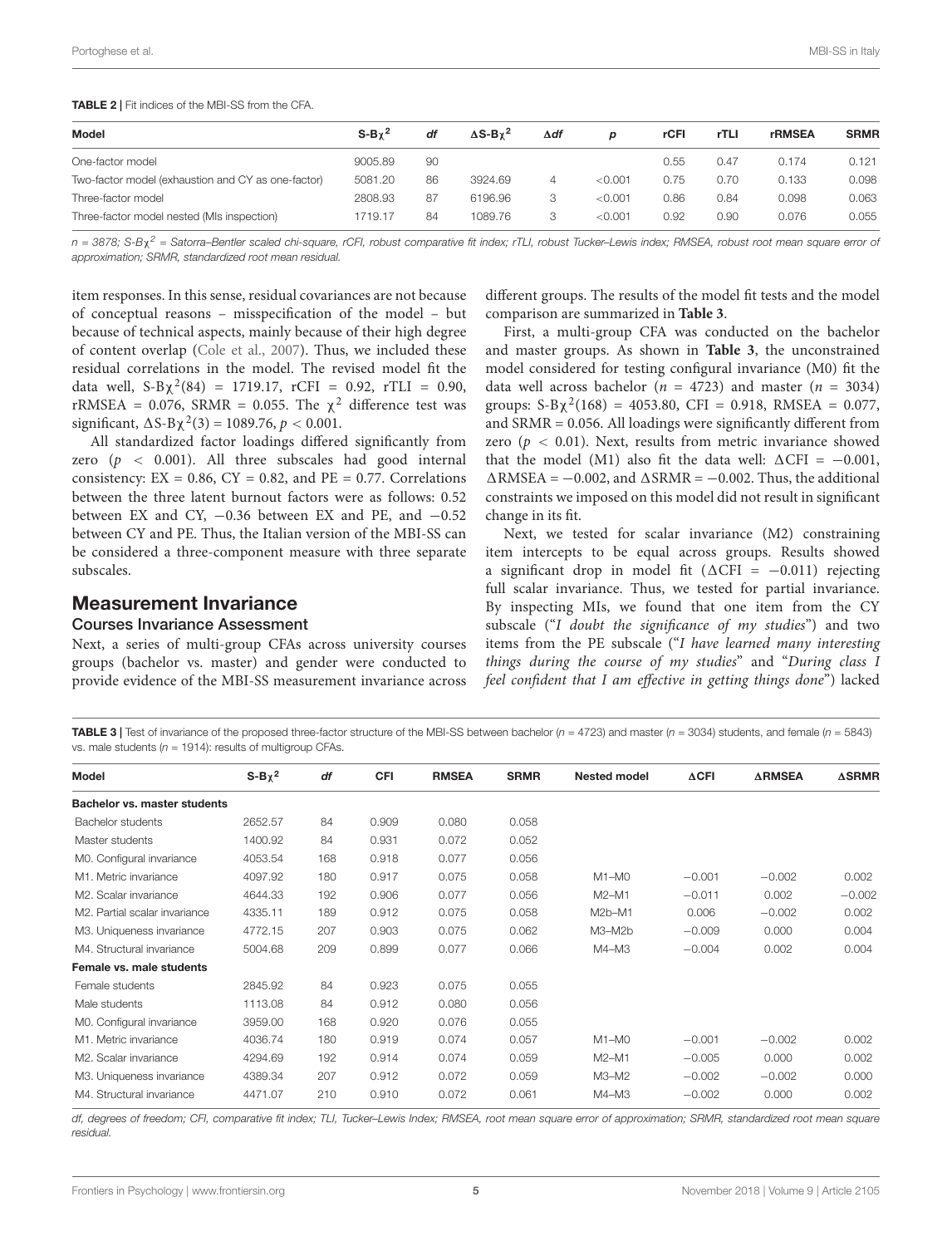#### <span id="page-4-0"></span>TABLE 2 | Fit indices of the MBI-SS from the CFA.

| $S-By^2$ | df | $\Delta S - B\gamma^2$ | $\Delta df$ | D       | <b>rCFI</b> | rTLI | <b>rRMSEA</b> | <b>SRMR</b> |
|----------|----|------------------------|-------------|---------|-------------|------|---------------|-------------|
| 9005.89  | 90 |                        |             |         | 0.55        | 0.47 | 0.174         | 0.121       |
| 5081.20  | 86 | 3924.69                | 4           | < 0.001 | 0.75        | 0.70 | 0.133         | 0.098       |
| 2808.93  | 87 | 6196.96                | 3           | < 0.001 | 0.86        | 0.84 | 0.098         | 0.063       |
| 1719.17  | 84 | 1089.76                | 3           | < 0.001 | 0.92        | 0.90 | 0.076         | 0.055       |
|          |    |                        |             |         |             |      |               |             |

n = 3878; S-Bχ<sup>2</sup> = Satorra–Bentler scaled chi-square, rCFI, robust comparative fit index; rTLI, robust Tucker–Lewis index; RMSEA, robust root mean square error oi approximation; SRMR, standardized root mean residual.

item responses. In this sense, residual covariances are not because of conceptual reasons – misspecification of the model – but because of technical aspects, mainly because of their high degree of content overlap [\(Cole et al.,](#page-7-38) [2007\)](#page-7-38). Thus, we included these residual correlations in the model. The revised model fit the data well,  $S-B\chi^2(84) = 1719.17$ , rCFI = 0.92, rTLI = 0.90, rRMSEA = 0.076, SRMR = 0.055. The  $\chi^2$  difference test was significant,  $\Delta S - B\chi^2(3) = 1089.76$ ,  $p < 0.001$ .

All standardized factor loadings differed significantly from zero ( $p \le 0.001$ ). All three subscales had good internal consistency:  $EX = 0.86$ ,  $CY = 0.82$ , and  $PE = 0.77$ . Correlations between the three latent burnout factors were as follows: 0.52 between EX and CY,  $-0.36$  between EX and PE, and  $-0.52$ between CY and PE. Thus, the Italian version of the MBI-SS can be considered a three-component measure with three separate subscales.

## Measurement Invariance

#### Courses Invariance Assessment

Next, a series of multi-group CFAs across university courses groups (bachelor vs. master) and gender were conducted to provide evidence of the MBI-SS measurement invariance across different groups. The results of the model fit tests and the model comparison are summarized in **[Table 3](#page-4-1)**.

First, a multi-group CFA was conducted on the bachelor and master groups. As shown in **[Table 3](#page-4-1)**, the unconstrained model considered for testing configural invariance (M0) fit the data well across bachelor ( $n = 4723$ ) and master ( $n = 3034$ ) groups:  $S-B\chi^2(168) = 4053.80$ , CFI = 0.918, RMSEA = 0.077, and SRMR = 0.056. All loadings were significantly different from zero ( $p < 0.01$ ). Next, results from metric invariance showed that the model (M1) also fit the data well:  $\Delta$ CFI = -0.001,  $\triangle$ RMSEA =  $-0.002$ , and  $\triangle$ SRMR =  $-0.002$ . Thus, the additional constraints we imposed on this model did not result in significant change in its fit.

Next, we tested for scalar invariance (M2) constraining item intercepts to be equal across groups. Results showed a significant drop in model fit ( $\triangle CFI$  = -0.011) rejecting full scalar invariance. Thus, we tested for partial invariance. By inspecting MIs, we found that one item from the CY subscale ("I doubt the significance of my studies") and two items from the PE subscale ("I have learned many interesting things during the course of my studies" and "During class I feel confident that I am effective in getting things done") lacked

<span id="page-4-1"></span>TABLE 3 | Test of invariance of the proposed three-factor structure of the MBI-SS between bachelor ( $n = 4723$ ) and master ( $n = 3034$ ) students, and female ( $n = 5843$ ) vs. male students ( $n = 1914$ ): results of multigroup CFAs.

| Model                         | $S-B\chi^2$ | df  | CFI   | <b>RMSEA</b> | <b>SRMR</b> | <b>Nested model</b> | $\Delta$ CFI | <b>ARMSEA</b> | <b>ASRMR</b> |
|-------------------------------|-------------|-----|-------|--------------|-------------|---------------------|--------------|---------------|--------------|
| Bachelor vs. master students  |             |     |       |              |             |                     |              |               |              |
| Bachelor students             | 2652.57     | 84  | 0.909 | 0.080        | 0.058       |                     |              |               |              |
| Master students               | 1400.92     | 84  | 0.931 | 0.072        | 0.052       |                     |              |               |              |
| M0. Configural invariance     | 4053.54     | 168 | 0.918 | 0.077        | 0.056       |                     |              |               |              |
| M1. Metric invariance         | 4097.92     | 180 | 0.917 | 0.075        | 0.058       | $M1-MO$             | $-0.001$     | $-0.002$      | 0.002        |
| M2. Scalar invariance         | 4644.33     | 192 | 0.906 | 0.077        | 0.056       | $M2-M1$             | $-0.011$     | 0.002         | $-0.002$     |
| M2. Partial scalar invariance | 4335.11     | 189 | 0.912 | 0.075        | 0.058       | $M2b-M1$            | 0.006        | $-0.002$      | 0.002        |
| M3. Uniqueness invariance     | 4772.15     | 207 | 0.903 | 0.075        | 0.062       | $M3-M2b$            | $-0.009$     | 0.000         | 0.004        |
| M4. Structural invariance     | 5004.68     | 209 | 0.899 | 0.077        | 0.066       | $M4-M3$             | $-0.004$     | 0.002         | 0.004        |
| Female vs. male students      |             |     |       |              |             |                     |              |               |              |
| Female students               | 2845.92     | 84  | 0.923 | 0.075        | 0.055       |                     |              |               |              |
| Male students                 | 1113.08     | 84  | 0.912 | 0.080        | 0.056       |                     |              |               |              |
| M0. Configural invariance     | 3959.00     | 168 | 0.920 | 0.076        | 0.055       |                     |              |               |              |
| M1. Metric invariance         | 4036.74     | 180 | 0.919 | 0.074        | 0.057       | $M1-MO$             | $-0.001$     | $-0.002$      | 0.002        |
| M2. Scalar invariance         | 4294.69     | 192 | 0.914 | 0.074        | 0.059       | $M2-M1$             | $-0.005$     | 0.000         | 0.002        |
| M3. Uniqueness invariance     | 4389.34     | 207 | 0.912 | 0.072        | 0.059       | $M3-M2$             | $-0.002$     | $-0.002$      | 0.000        |
| M4. Structural invariance     | 4471.07     | 210 | 0.910 | 0.072        | 0.061       | $M4-M3$             | $-0.002$     | 0.000         | 0.002        |

df, degrees of freedom; CFI, comparative fit index; TLI, Tucker–Lewis Index; RMSEA, root mean square error of approximation; SRMR, standardized root mean square residual.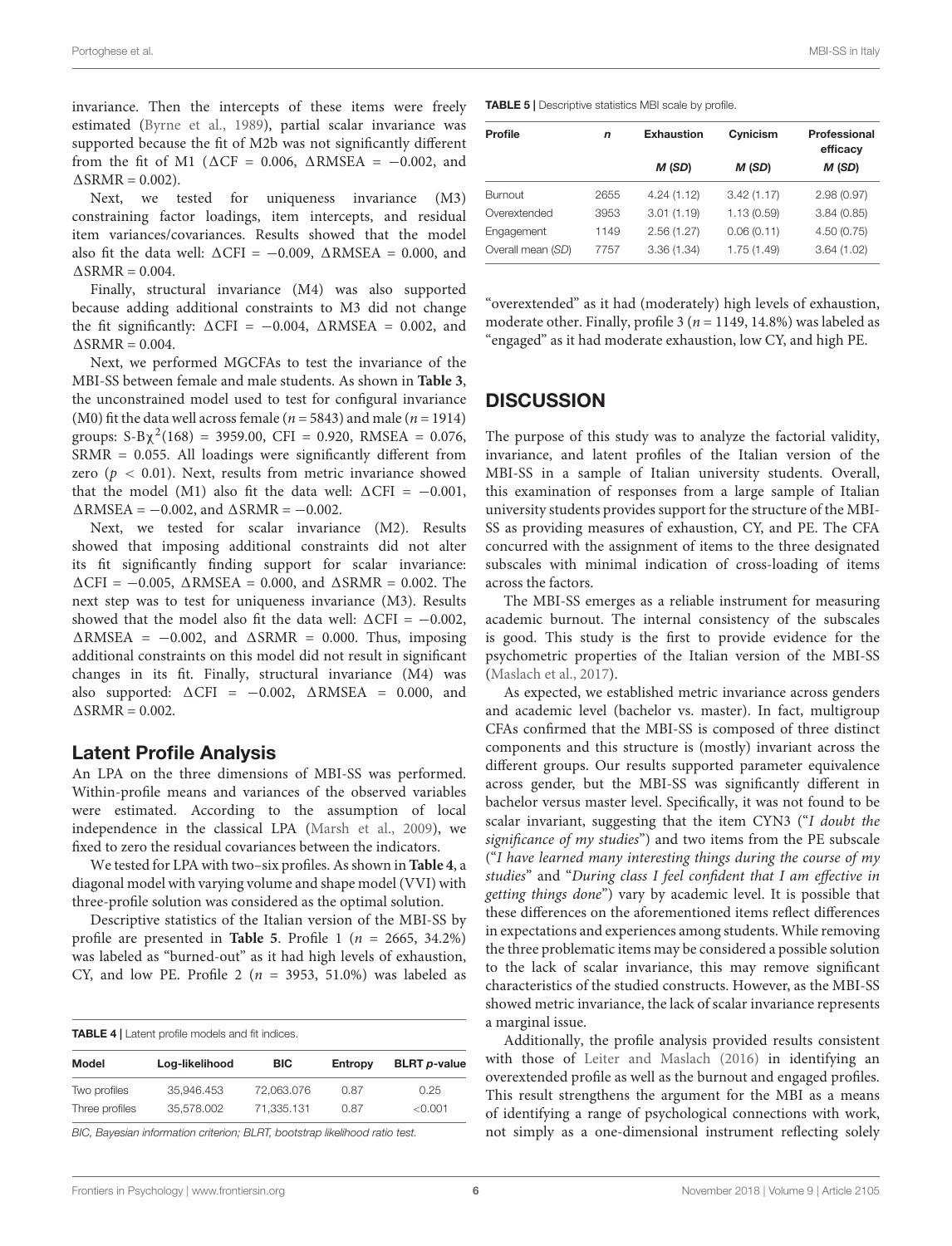invariance. Then the intercepts of these items were freely estimated [\(Byrne et al.,](#page-7-39) [1989\)](#page-7-39), partial scalar invariance was supported because the fit of M2b was not significantly different from the fit of M1 ( $\Delta CF = 0.006$ ,  $\Delta RMSEA = -0.002$ , and  $\triangle$ SRMR = 0.002).

Next, we tested for uniqueness invariance (M3) constraining factor loadings, item intercepts, and residual item variances/covariances. Results showed that the model also fit the data well:  $\Delta$ CFI = -0.009,  $\Delta$ RMSEA = 0.000, and  $\triangle$ SRMR = 0.004

Finally, structural invariance (M4) was also supported because adding additional constraints to M3 did not change the fit significantly:  $\Delta$ CFI = -0.004,  $\Delta$ RMSEA = 0.002, and  $\triangle$ SRMR = 0.004.

Next, we performed MGCFAs to test the invariance of the MBI-SS between female and male students. As shown in **[Table 3](#page-4-1)**, the unconstrained model used to test for configural invariance (M0) fit the data well across female ( $n = 5843$ ) and male ( $n = 1914$ ) groups:  $S-B\chi^2(168) = 3959.00$ , CFI = 0.920, RMSEA = 0.076, SRMR = 0.055. All loadings were significantly different from zero ( $p < 0.01$ ). Next, results from metric invariance showed that the model (M1) also fit the data well:  $\Delta$ CFI = -0.001,  $\triangle$ RMSEA =  $-0.002$ , and  $\triangle$ SRMR =  $-0.002$ .

Next, we tested for scalar invariance (M2). Results showed that imposing additional constraints did not alter its fit significantly finding support for scalar invariance:  $\Delta$ CFI = -0.005,  $\Delta$ RMSEA = 0.000, and  $\Delta$ SRMR = 0.002. The next step was to test for uniqueness invariance (M3). Results showed that the model also fit the data well:  $\Delta$ CFI = -0.002,  $\triangle$ RMSEA = -0.002, and  $\triangle$ SRMR = 0.000. Thus, imposing additional constraints on this model did not result in significant changes in its fit. Finally, structural invariance (M4) was also supported:  $\triangle CFI = -0.002$ ,  $\triangle RMSEA = 0.000$ , and  $\triangle$ SRMR = 0.002.

#### Latent Profile Analysis

An LPA on the three dimensions of MBI-SS was performed. Within-profile means and variances of the observed variables were estimated. According to the assumption of local independence in the classical LPA [\(Marsh et al.,](#page-7-40) [2009\)](#page-7-40), we fixed to zero the residual covariances between the indicators.

We tested for LPA with two–six profiles. As shown in **[Table 4](#page-5-0)**, a diagonal model with varying volume and shape model (VVI) with three-profile solution was considered as the optimal solution.

Descriptive statistics of the Italian version of the MBI-SS by profile are presented in **[Table 5](#page-5-1)**. Profile 1 ( $n = 2665, 34.2\%)$ was labeled as "burned-out" as it had high levels of exhaustion, CY, and low PE. Profile 2 ( $n = 3953, 51.0\%$ ) was labeled as

<span id="page-5-0"></span>TABLE 4 | Latent profile models and fit indices. Model Log-likelihood BIC Entropy BLRT p-value Two profiles 35,946.453 72,063.076 0.87 0.25 Three profiles 35,578.002 71,335.131 0.87 <0.001

BIC, Bayesian information criterion; BLRT, bootstrap likelihood ratio test.

<span id="page-5-1"></span>TABLE 5 | Descriptive statistics MBI scale by profile.

| Profile           | $\mathsf{n}$ | <b>Exhaustion</b> | Cynicism   | Professional<br>efficacy |  |
|-------------------|--------------|-------------------|------------|--------------------------|--|
|                   |              | M (SD)            | M (SD)     | M(SD)                    |  |
| Burnout           | 2655         | 4.24(1.12)        | 3.42(1.17) | 2.98(0.97)               |  |
| Overextended      | 3953         | 3.01(1.19)        | 1.13(0.59) | 3.84(0.85)               |  |
| Engagement        | 1149         | 2.56(1.27)        | 0.06(0.11) | 4.50(0.75)               |  |
| Overall mean (SD) | 7757         | 3.36(1.34)        | 1.75(1.49) | 3.64(1.02)               |  |

"overextended" as it had (moderately) high levels of exhaustion, moderate other. Finally, profile 3 ( $n = 1149, 14.8\%$ ) was labeled as "engaged" as it had moderate exhaustion, low CY, and high PE.

## **DISCUSSION**

The purpose of this study was to analyze the factorial validity, invariance, and latent profiles of the Italian version of the MBI-SS in a sample of Italian university students. Overall, this examination of responses from a large sample of Italian university students provides support for the structure of the MBI-SS as providing measures of exhaustion, CY, and PE. The CFA concurred with the assignment of items to the three designated subscales with minimal indication of cross-loading of items across the factors.

The MBI-SS emerges as a reliable instrument for measuring academic burnout. The internal consistency of the subscales is good. This study is the first to provide evidence for the psychometric properties of the Italian version of the MBI-SS [\(Maslach et al.,](#page-7-17) [2017\)](#page-7-17).

As expected, we established metric invariance across genders and academic level (bachelor vs. master). In fact, multigroup CFAs confirmed that the MBI-SS is composed of three distinct components and this structure is (mostly) invariant across the different groups. Our results supported parameter equivalence across gender, but the MBI-SS was significantly different in bachelor versus master level. Specifically, it was not found to be scalar invariant, suggesting that the item CYN3 ("I doubt the significance of my studies") and two items from the PE subscale ("I have learned many interesting things during the course of my studies" and "During class I feel confident that I am effective in getting things done") vary by academic level. It is possible that these differences on the aforementioned items reflect differences in expectations and experiences among students. While removing the three problematic items may be considered a possible solution to the lack of scalar invariance, this may remove significant characteristics of the studied constructs. However, as the MBI-SS showed metric invariance, the lack of scalar invariance represents a marginal issue.

Additionally, the profile analysis provided results consistent with those of [Leiter and Maslach](#page-7-23) [\(2016\)](#page-7-23) in identifying an overextended profile as well as the burnout and engaged profiles. This result strengthens the argument for the MBI as a means of identifying a range of psychological connections with work, not simply as a one-dimensional instrument reflecting solely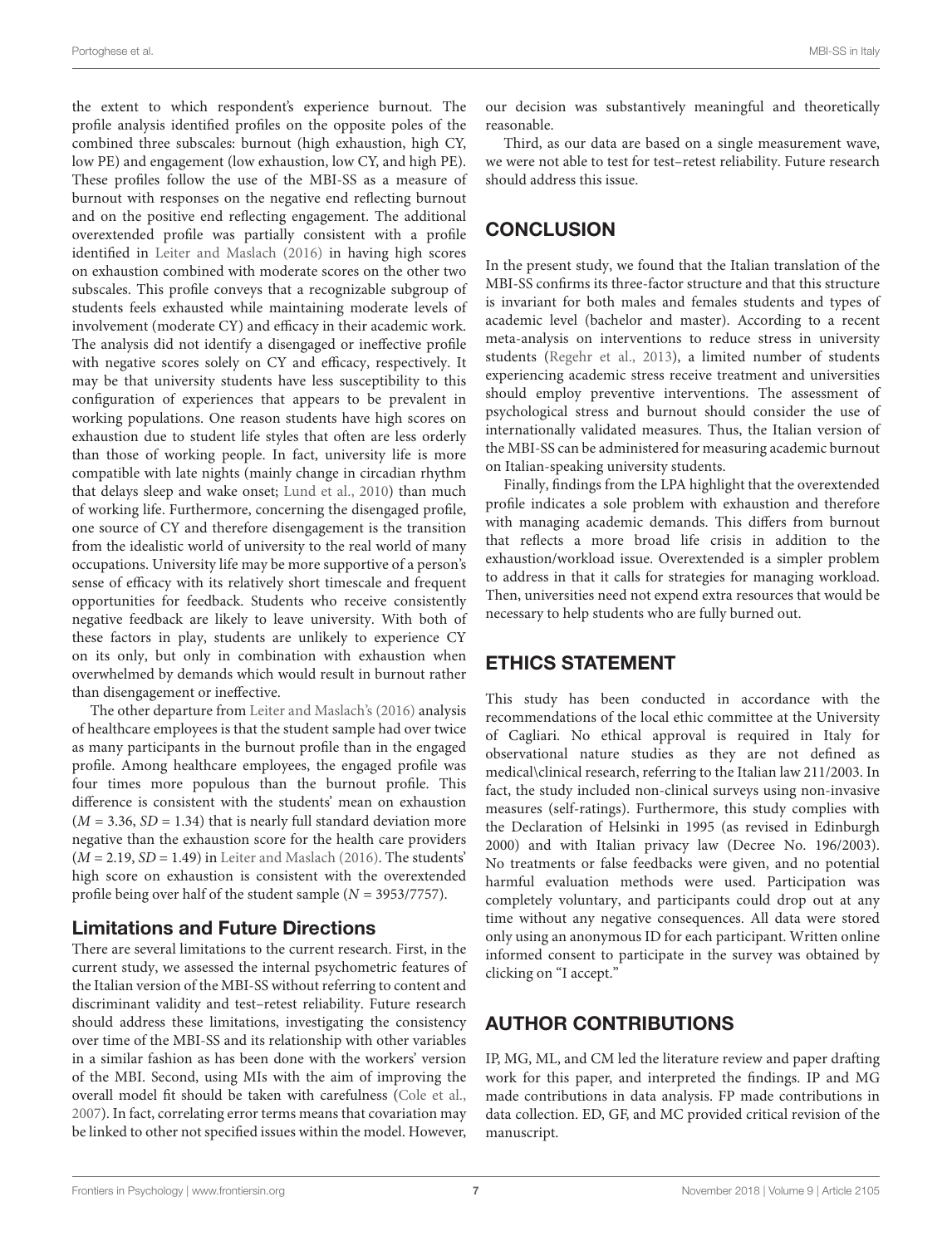the extent to which respondent's experience burnout. The profile analysis identified profiles on the opposite poles of the combined three subscales: burnout (high exhaustion, high CY, low PE) and engagement (low exhaustion, low CY, and high PE). These profiles follow the use of the MBI-SS as a measure of burnout with responses on the negative end reflecting burnout and on the positive end reflecting engagement. The additional overextended profile was partially consistent with a profile identified in [Leiter and Maslach](#page-7-23) [\(2016\)](#page-7-23) in having high scores on exhaustion combined with moderate scores on the other two subscales. This profile conveys that a recognizable subgroup of students feels exhausted while maintaining moderate levels of involvement (moderate CY) and efficacy in their academic work. The analysis did not identify a disengaged or ineffective profile with negative scores solely on CY and efficacy, respectively. It may be that university students have less susceptibility to this configuration of experiences that appears to be prevalent in working populations. One reason students have high scores on exhaustion due to student life styles that often are less orderly than those of working people. In fact, university life is more compatible with late nights (mainly change in circadian rhythm that delays sleep and wake onset; [Lund et al.,](#page-7-41) [2010\)](#page-7-41) than much of working life. Furthermore, concerning the disengaged profile, one source of CY and therefore disengagement is the transition from the idealistic world of university to the real world of many occupations. University life may be more supportive of a person's sense of efficacy with its relatively short timescale and frequent opportunities for feedback. Students who receive consistently negative feedback are likely to leave university. With both of these factors in play, students are unlikely to experience CY on its only, but only in combination with exhaustion when overwhelmed by demands which would result in burnout rather than disengagement or ineffective.

The other departure from [Leiter and Maslach'](#page-7-23)s [\(2016\)](#page-7-23) analysis of healthcare employees is that the student sample had over twice as many participants in the burnout profile than in the engaged profile. Among healthcare employees, the engaged profile was four times more populous than the burnout profile. This difference is consistent with the students' mean on exhaustion  $(M = 3.36, SD = 1.34)$  that is nearly full standard deviation more negative than the exhaustion score for the health care providers  $(M = 2.19, SD = 1.49)$  in [Leiter and Maslach](#page-7-23) [\(2016\)](#page-7-23). The students' high score on exhaustion is consistent with the overextended profile being over half of the student sample ( $N = 3953/7757$ ).

## Limitations and Future Directions

There are several limitations to the current research. First, in the current study, we assessed the internal psychometric features of the Italian version of the MBI-SS without referring to content and discriminant validity and test–retest reliability. Future research should address these limitations, investigating the consistency over time of the MBI-SS and its relationship with other variables in a similar fashion as has been done with the workers' version of the MBI. Second, using MIs with the aim of improving the overall model fit should be taken with carefulness [\(Cole et al.,](#page-7-38) [2007\)](#page-7-38). In fact, correlating error terms means that covariation may be linked to other not specified issues within the model. However, our decision was substantively meaningful and theoretically reasonable.

Third, as our data are based on a single measurement wave, we were not able to test for test–retest reliability. Future research should address this issue.

# **CONCLUSION**

In the present study, we found that the Italian translation of the MBI-SS confirms its three-factor structure and that this structure is invariant for both males and females students and types of academic level (bachelor and master). According to a recent meta-analysis on interventions to reduce stress in university students [\(Regehr et al.,](#page-7-42) [2013\)](#page-7-42), a limited number of students experiencing academic stress receive treatment and universities should employ preventive interventions. The assessment of psychological stress and burnout should consider the use of internationally validated measures. Thus, the Italian version of the MBI-SS can be administered for measuring academic burnout on Italian-speaking university students.

Finally, findings from the LPA highlight that the overextended profile indicates a sole problem with exhaustion and therefore with managing academic demands. This differs from burnout that reflects a more broad life crisis in addition to the exhaustion/workload issue. Overextended is a simpler problem to address in that it calls for strategies for managing workload. Then, universities need not expend extra resources that would be necessary to help students who are fully burned out.

# ETHICS STATEMENT

This study has been conducted in accordance with the recommendations of the local ethic committee at the University of Cagliari. No ethical approval is required in Italy for observational nature studies as they are not defined as medical\clinical research, referring to the Italian law 211/2003. In fact, the study included non-clinical surveys using non-invasive measures (self-ratings). Furthermore, this study complies with the Declaration of Helsinki in 1995 (as revised in Edinburgh 2000) and with Italian privacy law (Decree No. 196/2003). No treatments or false feedbacks were given, and no potential harmful evaluation methods were used. Participation was completely voluntary, and participants could drop out at any time without any negative consequences. All data were stored only using an anonymous ID for each participant. Written online informed consent to participate in the survey was obtained by clicking on "I accept."

# AUTHOR CONTRIBUTIONS

IP, MG, ML, and CM led the literature review and paper drafting work for this paper, and interpreted the findings. IP and MG made contributions in data analysis. FP made contributions in data collection. ED, GF, and MC provided critical revision of the manuscript.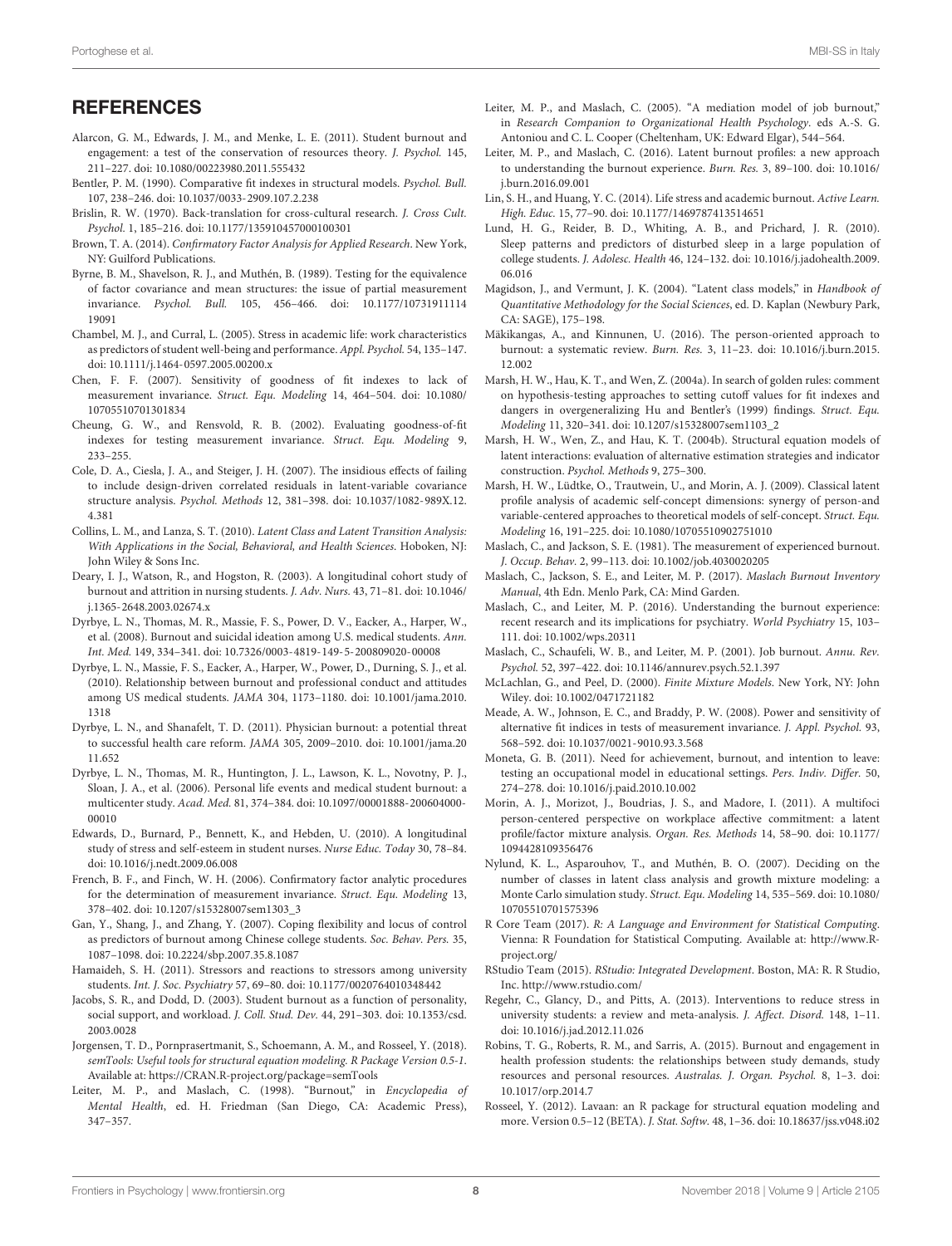# **REFERENCES**

- <span id="page-7-0"></span>Alarcon, G. M., Edwards, J. M., and Menke, L. E. (2011). Student burnout and engagement: a test of the conservation of resources theory. J. Psychol. 145, 211–227. [doi: 10.1080/00223980.2011.555432](https://doi.org/10.1080/00223980.2011.555432)
- <span id="page-7-31"></span>Bentler, P. M. (1990). Comparative fit indexes in structural models. Psychol. Bull. 107, 238–246. [doi: 10.1037/0033-2909.107.2.238](https://doi.org/10.1037/0033-2909.107.2.238)
- Brislin, R. W. (1970). Back-translation for cross-cultural research. J. Cross Cult. Psychol. 1, 185–216. [doi: 10.1177/135910457000100301](https://doi.org/10.1177/135910457000100301)
- <span id="page-7-28"></span>Brown, T. A. (2014). Confirmatory Factor Analysis for Applied Research. New York, NY: Guilford Publications.
- <span id="page-7-39"></span>Byrne, B. M., Shavelson, R. J., and Muthén, B. (1989). Testing for the equivalence of factor covariance and mean structures: the issue of partial measurement invariance. Psychol. Bull. 105, 456–466. [doi: 10.1177/10731911114](https://doi.org/10.1177/1073191111419091) [19091](https://doi.org/10.1177/1073191111419091)
- <span id="page-7-3"></span>Chambel, M. J., and Curral, L. (2005). Stress in academic life: work characteristics as predictors of student well-being and performance. Appl. Psychol. 54, 135–147. [doi: 10.1111/j.1464-0597.2005.00200.x](https://doi.org/10.1111/j.1464-0597.2005.00200.x)
- <span id="page-7-34"></span>Chen, F. F. (2007). Sensitivity of goodness of fit indexes to lack of measurement invariance. Struct. Equ. Modeling 14, 464–504. [doi: 10.1080/](https://doi.org/10.1080/10705510701301834) [10705510701301834](https://doi.org/10.1080/10705510701301834)
- <span id="page-7-32"></span>Cheung, G. W., and Rensvold, R. B. (2002). Evaluating goodness-of-fit indexes for testing measurement invariance. Struct. Equ. Modeling 9, 233–255.
- <span id="page-7-38"></span>Cole, D. A., Ciesla, J. A., and Steiger, J. H. (2007). The insidious effects of failing to include design-driven correlated residuals in latent-variable covariance structure analysis. Psychol. Methods 12, 381–398. [doi: 10.1037/1082-989X.12.](https://doi.org/10.1037/1082-989X.12.4.381) [4.381](https://doi.org/10.1037/1082-989X.12.4.381)
- <span id="page-7-19"></span>Collins, L. M., and Lanza, S. T. (2010). Latent Class and Latent Transition Analysis: With Applications in the Social, Behavioral, and Health Sciences. Hoboken, NJ: John Wiley & Sons Inc.
- <span id="page-7-1"></span>Deary, I. J., Watson, R., and Hogston, R. (2003). A longitudinal cohort study of burnout and attrition in nursing students. J. Adv. Nurs. 43, 71–81. [doi: 10.1046/](https://doi.org/10.1046/j.1365-2648.2003.02674.x) [j.1365-2648.2003.02674.x](https://doi.org/10.1046/j.1365-2648.2003.02674.x)
- <span id="page-7-11"></span>Dyrbye, L. N., Thomas, M. R., Massie, F. S., Power, D. V., Eacker, A., Harper, W., et al. (2008). Burnout and suicidal ideation among U.S. medical students. Ann. Int. Med. 149, 334–341. [doi: 10.7326/0003-4819-149-5-200809020-00008](https://doi.org/10.7326/0003-4819-149-5-200809020-00008)
- <span id="page-7-5"></span>Dyrbye, L. N., Massie, F. S., Eacker, A., Harper, W., Power, D., Durning, S. J., et al. (2010). Relationship between burnout and professional conduct and attitudes among US medical students. JAMA 304, 1173–1180. [doi: 10.1001/jama.2010.](https://doi.org/10.1001/jama.2010.1318) [1318](https://doi.org/10.1001/jama.2010.1318)
- <span id="page-7-12"></span>Dyrbye, L. N., and Shanafelt, T. D. (2011). Physician burnout: a potential threat to successful health care reform. JAMA 305, 2009–2010. [doi: 10.1001/jama.20](https://doi.org/10.1001/jama.2011.652) [11.652](https://doi.org/10.1001/jama.2011.652)
- <span id="page-7-13"></span>Dyrbye, L. N., Thomas, M. R., Huntington, J. L., Lawson, K. L., Novotny, P. J., Sloan, J. A., et al. (2006). Personal life events and medical student burnout: a multicenter study. Acad. Med. 81, 374–384. [doi: 10.1097/00001888-200604000-](https://doi.org/10.1097/00001888-200604000-00010) [00010](https://doi.org/10.1097/00001888-200604000-00010)
- <span id="page-7-6"></span>Edwards, D., Burnard, P., Bennett, K., and Hebden, U. (2010). A longitudinal study of stress and self-esteem in student nurses. Nurse Educ. Today 30, 78–84. [doi: 10.1016/j.nedt.2009.06.008](https://doi.org/10.1016/j.nedt.2009.06.008)
- <span id="page-7-33"></span>French, B. F., and Finch, W. H. (2006). Confirmatory factor analytic procedures for the determination of measurement invariance. Struct. Equ. Modeling 13, 378–402. [doi: 10.1207/s15328007sem1303\\_3](https://doi.org/10.1207/s15328007sem1303_3)
- <span id="page-7-10"></span>Gan, Y., Shang, J., and Zhang, Y. (2007). Coping flexibility and locus of control as predictors of burnout among Chinese college students. Soc. Behav. Pers. 35, 1087–1098. [doi: 10.2224/sbp.2007.35.8.1087](https://doi.org/10.2224/sbp.2007.35.8.1087)
- <span id="page-7-4"></span>Hamaideh, S. H. (2011). Stressors and reactions to stressors among university students. Int. J. Soc. Psychiatry 57, 69–80. [doi: 10.1177/0020764010348442](https://doi.org/10.1177/0020764010348442)
- <span id="page-7-8"></span>Jacobs, S. R., and Dodd, D. (2003). Student burnout as a function of personality, social support, and workload. J. Coll. Stud. Dev. 44, 291–303. [doi: 10.1353/csd.](https://doi.org/10.1353/csd.2003.0028) [2003.0028](https://doi.org/10.1353/csd.2003.0028)
- Jorgensen, T. D., Pornprasertmanit, S., Schoemann, A. M., and Rosseel, Y. (2018). semTools: Useful tools for structural equation modeling. R Package Version 0.5-1. Available at: <https://CRAN.R-project.org/package=semTools>
- <span id="page-7-24"></span>Leiter, M. P., and Maslach, C. (1998). "Burnout," in Encyclopedia of Mental Health, ed. H. Friedman (San Diego, CA: Academic Press), 347–357.
- <span id="page-7-16"></span>Leiter, M. P., and Maslach, C. (2005). "A mediation model of job burnout," in Research Companion to Organizational Health Psychology. eds A.-S. G. Antoniou and C. L. Cooper (Cheltenham, UK: Edward Elgar), 544–564.
- <span id="page-7-23"></span>Leiter, M. P., and Maslach, C. (2016). Latent burnout profiles: a new approach to understanding the burnout experience. Burn. Res. 3, 89–100. [doi: 10.1016/](https://doi.org/10.1016/j.burn.2016.09.001) [j.burn.2016.09.001](https://doi.org/10.1016/j.burn.2016.09.001)
- <span id="page-7-2"></span>Lin, S. H., and Huang, Y. C. (2014). Life stress and academic burnout. Active Learn. High. Educ. 15, 77–90. [doi: 10.1177/1469787413514651](https://doi.org/10.1177/1469787413514651)
- <span id="page-7-41"></span>Lund, H. G., Reider, B. D., Whiting, A. B., and Prichard, J. R. (2010). Sleep patterns and predictors of disturbed sleep in a large population of college students. J. Adolesc. Health 46, 124–132. [doi: 10.1016/j.jadohealth.2009.](https://doi.org/10.1016/j.jadohealth.2009.06.016) [06.016](https://doi.org/10.1016/j.jadohealth.2009.06.016)
- <span id="page-7-21"></span>Magidson, J., and Vermunt, J. K. (2004). "Latent class models," in Handbook of Quantitative Methodology for the Social Sciences, ed. D. Kaplan (Newbury Park, CA: SAGE), 175–198.
- <span id="page-7-22"></span>Mäkikangas, A., and Kinnunen, U. (2016). The person-oriented approach to burnout: a systematic review. Burn. Res. 3, 11–23. [doi: 10.1016/j.burn.2015.](https://doi.org/10.1016/j.burn.2015.12.002) [12.002](https://doi.org/10.1016/j.burn.2015.12.002)
- <span id="page-7-29"></span>Marsh, H. W., Hau, K. T., and Wen, Z. (2004a). In search of golden rules: comment on hypothesis-testing approaches to setting cutoff values for fit indexes and dangers in overgeneralizing Hu and Bentler's (1999) findings. Struct. Equ. Modeling 11, 320–341. [doi: 10.1207/s15328007sem1103\\_2](https://doi.org/10.1207/s15328007sem1103_2)
- <span id="page-7-30"></span>Marsh, H. W., Wen, Z., and Hau, K. T. (2004b). Structural equation models of latent interactions: evaluation of alternative estimation strategies and indicator construction. Psychol. Methods 9, 275–300.
- <span id="page-7-40"></span>Marsh, H. W., Lüdtke, O., Trautwein, U., and Morin, A. J. (2009). Classical latent profile analysis of academic self-concept dimensions: synergy of person-and variable-centered approaches to theoretical models of self-concept. Struct. Equ. Modeling 16, 191–225. [doi: 10.1080/10705510902751010](https://doi.org/10.1080/10705510902751010)
- <span id="page-7-14"></span>Maslach, C., and Jackson, S. E. (1981). The measurement of experienced burnout. J. Occup. Behav. 2, 99–113. [doi: 10.1002/job.4030020205](https://doi.org/10.1002/job.4030020205)
- <span id="page-7-17"></span>Maslach, C., Jackson, S. E., and Leiter, M. P. (2017). Maslach Burnout Inventory Manual, 4th Edn. Menlo Park, CA: Mind Garden.
- <span id="page-7-18"></span>Maslach, C., and Leiter, M. P. (2016). Understanding the burnout experience: recent research and its implications for psychiatry. World Psychiatry 15, 103– 111. [doi: 10.1002/wps.20311](https://doi.org/10.1002/wps.20311)
- <span id="page-7-15"></span>Maslach, C., Schaufeli, W. B., and Leiter, M. P. (2001). Job burnout. Annu. Rev. Psychol. 52, 397–422. [doi: 10.1146/annurev.psych.52.1.397](https://doi.org/10.1146/annurev.psych.52.1.397)
- <span id="page-7-36"></span>McLachlan, G., and Peel, D. (2000). Finite Mixture Models. New York, NY: John Wiley. [doi: 10.1002/0471721182](https://doi.org/10.1002/0471721182)
- <span id="page-7-35"></span>Meade, A. W., Johnson, E. C., and Braddy, P. W. (2008). Power and sensitivity of alternative fit indices in tests of measurement invariance. J. Appl. Psychol. 93, 568–592. [doi: 10.1037/0021-9010.93.3.568](https://doi.org/10.1037/0021-9010.93.3.568)
- <span id="page-7-7"></span>Moneta, G. B. (2011). Need for achievement, burnout, and intention to leave: testing an occupational model in educational settings. Pers. Indiv. Differ. 50, 274–278. [doi: 10.1016/j.paid.2010.10.002](https://doi.org/10.1016/j.paid.2010.10.002)
- <span id="page-7-20"></span>Morin, A. J., Morizot, J., Boudrias, J. S., and Madore, I. (2011). A multifoci person-centered perspective on workplace affective commitment: a latent profile/factor mixture analysis. Organ. Res. Methods 14, 58–90. [doi: 10.1177/](https://doi.org/10.1177/1094428109356476) [1094428109356476](https://doi.org/10.1177/1094428109356476)
- <span id="page-7-37"></span>Nylund, K. L., Asparouhov, T., and Muthén, B. O. (2007). Deciding on the number of classes in latent class analysis and growth mixture modeling: a Monte Carlo simulation study. Struct. Equ. Modeling 14, 535–569. [doi: 10.1080/](https://doi.org/10.1080/10705510701575396) [10705510701575396](https://doi.org/10.1080/10705510701575396)
- <span id="page-7-25"></span>R Core Team (2017). R: A Language and Environment for Statistical Computing. Vienna: R Foundation for Statistical Computing. Available at: [http://www.R](http://www.R-project.org/)[project.org/](http://www.R-project.org/)
- <span id="page-7-26"></span>RStudio Team (2015). RStudio: Integrated Development. Boston, MA: R. R Studio, Inc. <http://www.rstudio.com/>
- <span id="page-7-42"></span>Regehr, C., Glancy, D., and Pitts, A. (2013). Interventions to reduce stress in university students: a review and meta-analysis. J. Affect. Disord. 148, 1–11. [doi: 10.1016/j.jad.2012.11.026](https://doi.org/10.1016/j.jad.2012.11.026)
- <span id="page-7-9"></span>Robins, T. G., Roberts, R. M., and Sarris, A. (2015). Burnout and engagement in health profession students: the relationships between study demands, study resources and personal resources. Australas. J. Organ. Psychol. 8, 1–3. [doi:](https://doi.org/10.1017/orp.2014.7) [10.1017/orp.2014.7](https://doi.org/10.1017/orp.2014.7)
- <span id="page-7-27"></span>Rosseel, Y. (2012). Lavaan: an R package for structural equation modeling and more. Version 0.5–12 (BETA). J. Stat. Softw. 48, 1–36. [doi: 10.18637/jss.v048.i02](https://doi.org/10.18637/jss.v048.i02)